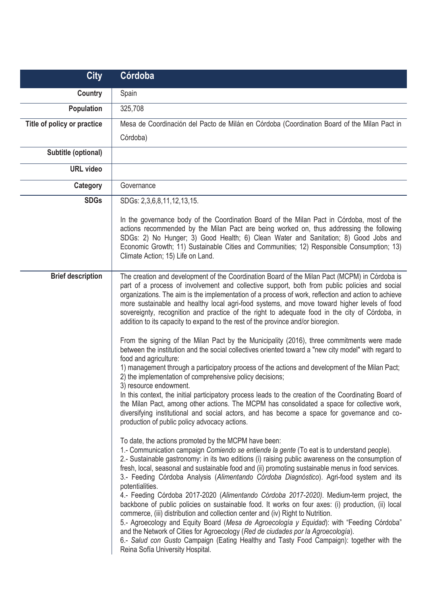| <b>City</b>                 | Córdoba                                                                                                                                                                                                                                                                                                                                                                                                                                                                                                                                                                                                                                                                                                                                                                                                                                                                                                                                                                                                                                                                                                                                                                                                                                                                                                                                                                    |
|-----------------------------|----------------------------------------------------------------------------------------------------------------------------------------------------------------------------------------------------------------------------------------------------------------------------------------------------------------------------------------------------------------------------------------------------------------------------------------------------------------------------------------------------------------------------------------------------------------------------------------------------------------------------------------------------------------------------------------------------------------------------------------------------------------------------------------------------------------------------------------------------------------------------------------------------------------------------------------------------------------------------------------------------------------------------------------------------------------------------------------------------------------------------------------------------------------------------------------------------------------------------------------------------------------------------------------------------------------------------------------------------------------------------|
| Country                     | Spain                                                                                                                                                                                                                                                                                                                                                                                                                                                                                                                                                                                                                                                                                                                                                                                                                                                                                                                                                                                                                                                                                                                                                                                                                                                                                                                                                                      |
| Population                  | 325,708                                                                                                                                                                                                                                                                                                                                                                                                                                                                                                                                                                                                                                                                                                                                                                                                                                                                                                                                                                                                                                                                                                                                                                                                                                                                                                                                                                    |
| Title of policy or practice | Mesa de Coordinación del Pacto de Milán en Córdoba (Coordination Board of the Milan Pact in                                                                                                                                                                                                                                                                                                                                                                                                                                                                                                                                                                                                                                                                                                                                                                                                                                                                                                                                                                                                                                                                                                                                                                                                                                                                                |
|                             | Córdoba)                                                                                                                                                                                                                                                                                                                                                                                                                                                                                                                                                                                                                                                                                                                                                                                                                                                                                                                                                                                                                                                                                                                                                                                                                                                                                                                                                                   |
| Subtitle (optional)         |                                                                                                                                                                                                                                                                                                                                                                                                                                                                                                                                                                                                                                                                                                                                                                                                                                                                                                                                                                                                                                                                                                                                                                                                                                                                                                                                                                            |
| <b>URL</b> video            |                                                                                                                                                                                                                                                                                                                                                                                                                                                                                                                                                                                                                                                                                                                                                                                                                                                                                                                                                                                                                                                                                                                                                                                                                                                                                                                                                                            |
| Category                    | Governance                                                                                                                                                                                                                                                                                                                                                                                                                                                                                                                                                                                                                                                                                                                                                                                                                                                                                                                                                                                                                                                                                                                                                                                                                                                                                                                                                                 |
| <b>SDGs</b>                 | SDGs: 2,3,6,8,11,12,13,15.                                                                                                                                                                                                                                                                                                                                                                                                                                                                                                                                                                                                                                                                                                                                                                                                                                                                                                                                                                                                                                                                                                                                                                                                                                                                                                                                                 |
|                             | In the governance body of the Coordination Board of the Milan Pact in Córdoba, most of the<br>actions recommended by the Milan Pact are being worked on, thus addressing the following<br>SDGs: 2) No Hunger; 3) Good Health; 6) Clean Water and Sanitation; 8) Good Jobs and<br>Economic Growth; 11) Sustainable Cities and Communities; 12) Responsible Consumption; 13)<br>Climate Action; 15) Life on Land.                                                                                                                                                                                                                                                                                                                                                                                                                                                                                                                                                                                                                                                                                                                                                                                                                                                                                                                                                            |
| <b>Brief description</b>    | The creation and development of the Coordination Board of the Milan Pact (MCPM) in Córdoba is<br>part of a process of involvement and collective support, both from public policies and social<br>organizations. The aim is the implementation of a process of work, reflection and action to achieve<br>more sustainable and healthy local agri-food systems, and move toward higher levels of food<br>sovereignty, recognition and practice of the right to adequate food in the city of Córdoba, in<br>addition to its capacity to expand to the rest of the province and/or bioregion.<br>From the signing of the Milan Pact by the Municipality (2016), three commitments were made<br>between the institution and the social collectives oriented toward a "new city model" with regard to<br>food and agriculture:<br>1) management through a participatory process of the actions and development of the Milan Pact;<br>2) the implementation of comprehensive policy decisions;<br>3) resource endowment.<br>In this context, the initial participatory process leads to the creation of the Coordinating Board of<br>the Milan Pact, among other actions. The MCPM has consolidated a space for collective work,<br>diversifying institutional and social actors, and has become a space for governance and co-<br>production of public policy advocacy actions. |
|                             | To date, the actions promoted by the MCPM have been:<br>1.- Communication campaign Comiendo se entiende la gente (To eat is to understand people).<br>2.- Sustainable gastronomy: in its two editions (i) raising public awareness on the consumption of<br>fresh, local, seasonal and sustainable food and (ii) promoting sustainable menus in food services.<br>3.- Feeding Córdoba Analysis (Alimentando Córdoba Diagnóstico). Agri-food system and its<br>potentialities.<br>4.- Feeding Córdoba 2017-2020 (Alimentando Córdoba 2017-2020). Medium-term project, the<br>backbone of public policies on sustainable food. It works on four axes: (i) production, (ii) local<br>commerce, (iii) distribution and collection center and (iv) Right to Nutrition.<br>5.- Agroecology and Equity Board (Mesa de Agroecología y Equidad): with "Feeding Córdoba"<br>and the Network of Cities for Agroecology (Red de ciudades por la Agroecología).<br>6.- Salud con Gusto Campaign (Eating Healthy and Tasty Food Campaign): together with the<br>Reina Sofía University Hospital.                                                                                                                                                                                                                                                                                         |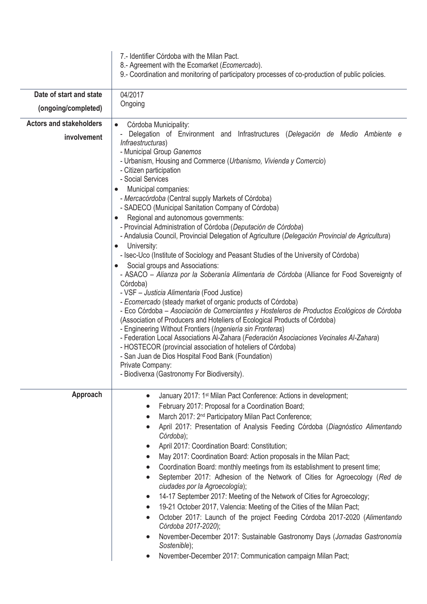|                                | 7.- Identifier Córdoba with the Milan Pact.<br>8.- Agreement with the Ecomarket (Ecomercado).<br>9.- Coordination and monitoring of participatory processes of co-production of public policies.                                                                                                                                                                                                                                                                                                                                                                                                                                                                                                                                                                                                                                                                                                                                                                                                                                                                                                                                                                                                                                                                                                                                                                                                                                                                                                                                 |
|--------------------------------|----------------------------------------------------------------------------------------------------------------------------------------------------------------------------------------------------------------------------------------------------------------------------------------------------------------------------------------------------------------------------------------------------------------------------------------------------------------------------------------------------------------------------------------------------------------------------------------------------------------------------------------------------------------------------------------------------------------------------------------------------------------------------------------------------------------------------------------------------------------------------------------------------------------------------------------------------------------------------------------------------------------------------------------------------------------------------------------------------------------------------------------------------------------------------------------------------------------------------------------------------------------------------------------------------------------------------------------------------------------------------------------------------------------------------------------------------------------------------------------------------------------------------------|
| Date of start and state        | 04/2017                                                                                                                                                                                                                                                                                                                                                                                                                                                                                                                                                                                                                                                                                                                                                                                                                                                                                                                                                                                                                                                                                                                                                                                                                                                                                                                                                                                                                                                                                                                          |
| (ongoing/completed)            | Ongoing                                                                                                                                                                                                                                                                                                                                                                                                                                                                                                                                                                                                                                                                                                                                                                                                                                                                                                                                                                                                                                                                                                                                                                                                                                                                                                                                                                                                                                                                                                                          |
| <b>Actors and stakeholders</b> | Córdoba Municipality:<br>$\bullet$                                                                                                                                                                                                                                                                                                                                                                                                                                                                                                                                                                                                                                                                                                                                                                                                                                                                                                                                                                                                                                                                                                                                                                                                                                                                                                                                                                                                                                                                                               |
| involvement                    | Delegation of Environment and Infrastructures (Delegación de Medio Ambiente e<br>Infraestructuras)<br>- Municipal Group Ganemos<br>- Urbanism, Housing and Commerce (Urbanismo, Vivienda y Comercio)<br>- Citizen participation<br>- Social Services<br>Municipal companies:<br>- Mercacórdoba (Central supply Markets of Córdoba)<br>- SADECO (Municipal Sanitation Company of Córdoba)<br>Regional and autonomous governments:<br>- Provincial Administration of Córdoba (Deputación de Córdoba)<br>- Andalusia Council, Provincial Delegation of Agriculture (Delegación Provincial de Agricultura)<br>University:<br>$\bullet$<br>- Isec-Uco (Institute of Sociology and Peasant Studies of the University of Córdoba)<br>Social groups and Associations:<br>$\bullet$<br>- ASACO - Alianza por la Soberanía Alimentaria de Córdoba (Alliance for Food Sovereignty of<br>Córdoba)<br>- VSF - Justicia Alimentaria (Food Justice)<br>- Ecomercado (steady market of organic products of Córdoba)<br>- Eco Córdoba – Asociación de Comerciantes y Hosteleros de Productos Ecológicos de Córdoba<br>(Association of Producers and Hoteliers of Ecological Products of Córdoba)<br>- Engineering Without Frontiers (Ingeniería sin Fronteras)<br>- Federation Local Associations Al-Zahara (Federación Asociaciones Vecinales Al-Zahara)<br>- HOSTECOR (provincial association of hoteliers of Córdoba)<br>- San Juan de Dios Hospital Food Bank (Foundation)<br>Private Company:<br>- Biodiverxa (Gastronomy For Biodiversity). |
| Approach                       | January 2017: 1 <sup>st</sup> Milan Pact Conference: Actions in development;<br>$\bullet$                                                                                                                                                                                                                                                                                                                                                                                                                                                                                                                                                                                                                                                                                                                                                                                                                                                                                                                                                                                                                                                                                                                                                                                                                                                                                                                                                                                                                                        |
|                                | February 2017: Proposal for a Coordination Board;<br>$\bullet$                                                                                                                                                                                                                                                                                                                                                                                                                                                                                                                                                                                                                                                                                                                                                                                                                                                                                                                                                                                                                                                                                                                                                                                                                                                                                                                                                                                                                                                                   |
|                                | March 2017: 2 <sup>nd</sup> Participatory Milan Pact Conference;                                                                                                                                                                                                                                                                                                                                                                                                                                                                                                                                                                                                                                                                                                                                                                                                                                                                                                                                                                                                                                                                                                                                                                                                                                                                                                                                                                                                                                                                 |
|                                | April 2017: Presentation of Analysis Feeding Córdoba (Diagnóstico Alimentando<br>Córdoba);                                                                                                                                                                                                                                                                                                                                                                                                                                                                                                                                                                                                                                                                                                                                                                                                                                                                                                                                                                                                                                                                                                                                                                                                                                                                                                                                                                                                                                       |
|                                | April 2017: Coordination Board: Constitution;<br>$\bullet$                                                                                                                                                                                                                                                                                                                                                                                                                                                                                                                                                                                                                                                                                                                                                                                                                                                                                                                                                                                                                                                                                                                                                                                                                                                                                                                                                                                                                                                                       |
|                                | May 2017: Coordination Board: Action proposals in the Milan Pact;<br>$\bullet$                                                                                                                                                                                                                                                                                                                                                                                                                                                                                                                                                                                                                                                                                                                                                                                                                                                                                                                                                                                                                                                                                                                                                                                                                                                                                                                                                                                                                                                   |
|                                | Coordination Board: monthly meetings from its establishment to present time;                                                                                                                                                                                                                                                                                                                                                                                                                                                                                                                                                                                                                                                                                                                                                                                                                                                                                                                                                                                                                                                                                                                                                                                                                                                                                                                                                                                                                                                     |
|                                | September 2017: Adhesion of the Network of Cities for Agroecology (Red de<br>$\bullet$<br>ciudades por la Agroecología);                                                                                                                                                                                                                                                                                                                                                                                                                                                                                                                                                                                                                                                                                                                                                                                                                                                                                                                                                                                                                                                                                                                                                                                                                                                                                                                                                                                                         |
|                                | 14-17 September 2017: Meeting of the Network of Cities for Agroecology;<br>$\bullet$                                                                                                                                                                                                                                                                                                                                                                                                                                                                                                                                                                                                                                                                                                                                                                                                                                                                                                                                                                                                                                                                                                                                                                                                                                                                                                                                                                                                                                             |
|                                | 19-21 October 2017, Valencia: Meeting of the Cities of the Milan Pact;<br>$\bullet$                                                                                                                                                                                                                                                                                                                                                                                                                                                                                                                                                                                                                                                                                                                                                                                                                                                                                                                                                                                                                                                                                                                                                                                                                                                                                                                                                                                                                                              |
|                                | October 2017: Launch of the project Feeding Córdoba 2017-2020 (Alimentando<br>Córdoba 2017-2020);                                                                                                                                                                                                                                                                                                                                                                                                                                                                                                                                                                                                                                                                                                                                                                                                                                                                                                                                                                                                                                                                                                                                                                                                                                                                                                                                                                                                                                |
|                                | November-December 2017: Sustainable Gastronomy Days (Jornadas Gastronomía<br>Sostenible);                                                                                                                                                                                                                                                                                                                                                                                                                                                                                                                                                                                                                                                                                                                                                                                                                                                                                                                                                                                                                                                                                                                                                                                                                                                                                                                                                                                                                                        |
|                                | November-December 2017: Communication campaign Milan Pact;                                                                                                                                                                                                                                                                                                                                                                                                                                                                                                                                                                                                                                                                                                                                                                                                                                                                                                                                                                                                                                                                                                                                                                                                                                                                                                                                                                                                                                                                       |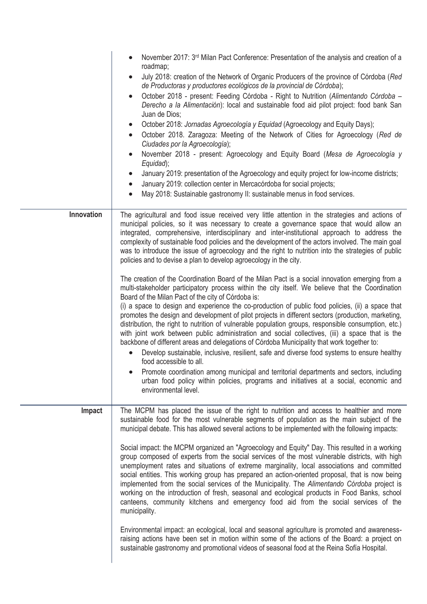|                   | November 2017: 3rd Milan Pact Conference: Presentation of the analysis and creation of a<br>roadmap;<br>July 2018: creation of the Network of Organic Producers of the province of Córdoba (Red<br>de Productoras y productores ecológicos de la provincial de Córdoba);<br>October 2018 - present: Feeding Córdoba - Right to Nutrition (Alimentando Córdoba -<br>Derecho a la Alimentación): local and sustainable food aid pilot project: food bank San<br>Juan de Dios;<br>October 2018: Jornadas Agroecología y Equidad (Agroecology and Equity Days);<br>$\bullet$<br>October 2018. Zaragoza: Meeting of the Network of Cities for Agroecology (Red de<br>Ciudades por la Agroecología);<br>November 2018 - present: Agroecology and Equity Board (Mesa de Agroecología y<br>Equidad);<br>January 2019: presentation of the Agroecology and equity project for low-income districts;<br>January 2019: collection center in Mercacórdoba for social projects;<br>$\bullet$<br>May 2018: Sustainable gastronomy II: sustainable menus in food services.                                                                                                                                                                                                                                                                                                                                                                                                                                                                                                                                                                                                                                       |
|-------------------|---------------------------------------------------------------------------------------------------------------------------------------------------------------------------------------------------------------------------------------------------------------------------------------------------------------------------------------------------------------------------------------------------------------------------------------------------------------------------------------------------------------------------------------------------------------------------------------------------------------------------------------------------------------------------------------------------------------------------------------------------------------------------------------------------------------------------------------------------------------------------------------------------------------------------------------------------------------------------------------------------------------------------------------------------------------------------------------------------------------------------------------------------------------------------------------------------------------------------------------------------------------------------------------------------------------------------------------------------------------------------------------------------------------------------------------------------------------------------------------------------------------------------------------------------------------------------------------------------------------------------------------------------------------------------------------------------|
| <b>Innovation</b> | The agricultural and food issue received very little attention in the strategies and actions of<br>municipal policies, so it was necessary to create a governance space that would allow an<br>integrated, comprehensive, interdisciplinary and inter-institutional approach to address the<br>complexity of sustainable food policies and the development of the actors involved. The main goal<br>was to introduce the issue of agroecology and the right to nutrition into the strategies of public<br>policies and to devise a plan to develop agroecology in the city.<br>The creation of the Coordination Board of the Milan Pact is a social innovation emerging from a<br>multi-stakeholder participatory process within the city itself. We believe that the Coordination<br>Board of the Milan Pact of the city of Córdoba is:<br>(i) a space to design and experience the co-production of public food policies, (ii) a space that<br>promotes the design and development of pilot projects in different sectors (production, marketing,<br>distribution, the right to nutrition of vulnerable population groups, responsible consumption, etc.)<br>with joint work between public administration and social collectives, (iii) a space that is the<br>backbone of different areas and delegations of Córdoba Municipality that work together to:<br>Develop sustainable, inclusive, resilient, safe and diverse food systems to ensure healthy<br>food accessible to all.<br>Promote coordination among municipal and territorial departments and sectors, including<br>urban food policy within policies, programs and initiatives at a social, economic and<br>environmental level. |
| Impact            | The MCPM has placed the issue of the right to nutrition and access to healthier and more<br>sustainable food for the most vulnerable segments of population as the main subject of the<br>municipal debate. This has allowed several actions to be implemented with the following impacts:<br>Social impact: the MCPM organized an "Agroecology and Equity" Day. This resulted in a working<br>group composed of experts from the social services of the most vulnerable districts, with high<br>unemployment rates and situations of extreme marginality, local associations and committed<br>social entities. This working group has prepared an action-oriented proposal, that is now being<br>implemented from the social services of the Municipality. The Alimentando Córdoba project is<br>working on the introduction of fresh, seasonal and ecological products in Food Banks, school<br>canteens, community kitchens and emergency food aid from the social services of the<br>municipality.<br>Environmental impact: an ecological, local and seasonal agriculture is promoted and awareness-<br>raising actions have been set in motion within some of the actions of the Board: a project on<br>sustainable gastronomy and promotional videos of seasonal food at the Reina Sofía Hospital.                                                                                                                                                                                                                                                                                                                                                                                          |